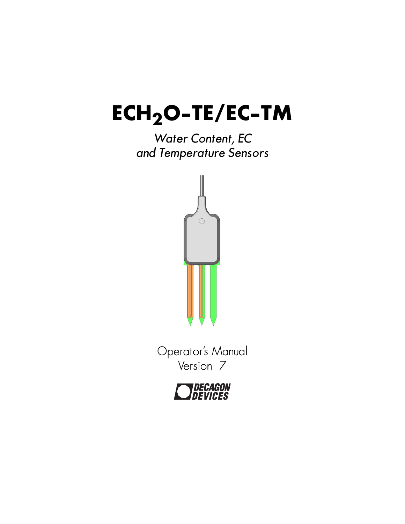# **ECH2O-TE/EC-TM**

# *Water Content, EC and Temperature Sensors*



Operator's Manual Version 7

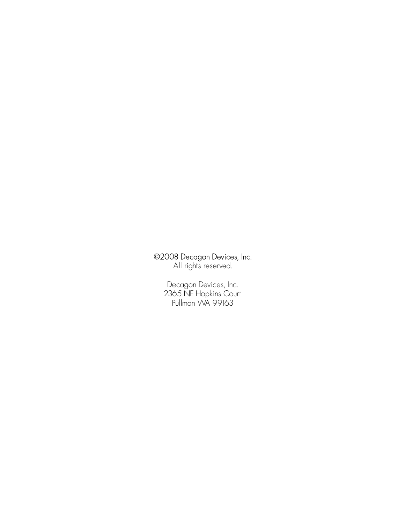#### ©2008 Decagon Devices, Inc.

All rights reserved.

Decagon Devices, Inc. 2365 NE Hopkins Court Pullman WA 99163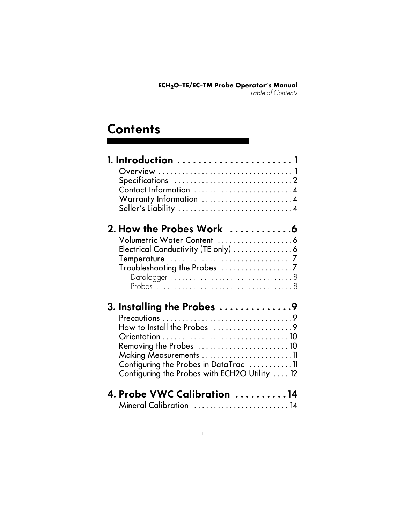# **Contents**

| Contact Information 4                                       |  |
|-------------------------------------------------------------|--|
| Warranty Information 4                                      |  |
|                                                             |  |
| 2. How the Probes Work 6                                    |  |
|                                                             |  |
| Electrical Conductivity (TE only)  6                        |  |
|                                                             |  |
|                                                             |  |
|                                                             |  |
|                                                             |  |
| 3. Installing the Probes $\ldots \ldots \ldots \ldots$      |  |
|                                                             |  |
| How to Install the Probes $\dots\dots\dots\dots\dots\dots9$ |  |
|                                                             |  |
| Removing the Probes $\dots\dots\dots\dots\dots\dots\dots$   |  |
|                                                             |  |
| Configuring the Probes in DataTrac $\dots\dots\dots\dots$   |  |
| Configuring the Probes with ECH2O Utility  12               |  |
| 4. Probe VWC Calibration 14                                 |  |
| Mineral Calibration  14                                     |  |
|                                                             |  |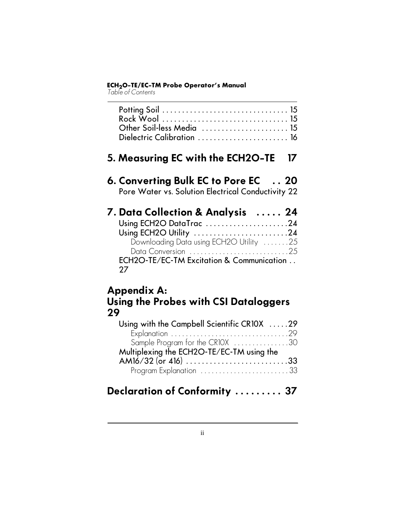*Table of Contents*

| Other Soil-less Media  15<br>Dielectric Calibration  16                                                                                                                                              |
|------------------------------------------------------------------------------------------------------------------------------------------------------------------------------------------------------|
| 5. Measuring EC with the ECH2O-TE<br>17                                                                                                                                                              |
| 6. Converting Bulk EC to Pore EC  20<br>Pore Water vs. Solution Electrical Conductivity 22                                                                                                           |
| 7. Data Collection & Analysis  24<br>Using ECH2O DataTrac 24<br>Using ECH2O Utility 24<br>Downloading Data using ECH2O Utility 25<br>Data Conversion 25<br>ECH2O-TE/EC-TM Excitation & Communication |
|                                                                                                                                                                                                      |

27

### Appendix A: Using the Probes with CSI Dataloggers 29

| Using with the Campbell Scientific CR10X 29 |  |
|---------------------------------------------|--|
|                                             |  |
| Sample Program for the CR10X 30             |  |
| Multiplexing the ECH2O-TE/EC-TM using the   |  |
| AM16/32 (or 416) 33                         |  |
| Program Explanation 33                      |  |

# Declaration of Conformity ......... 37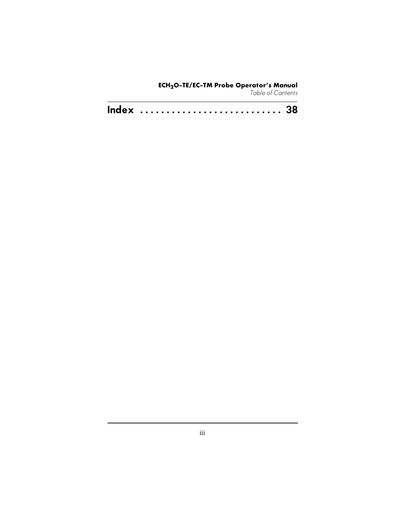#### **ECH2O-TE/EC-TM Probe Operator's Manual** *Table of Contents*

| Index  38 |  |  |  |  |  |  |  |  |  |  |  |  |  |  |  |  |  |  |  |  |  |  |  |  |  |  |  |  |  |
|-----------|--|--|--|--|--|--|--|--|--|--|--|--|--|--|--|--|--|--|--|--|--|--|--|--|--|--|--|--|--|
|-----------|--|--|--|--|--|--|--|--|--|--|--|--|--|--|--|--|--|--|--|--|--|--|--|--|--|--|--|--|--|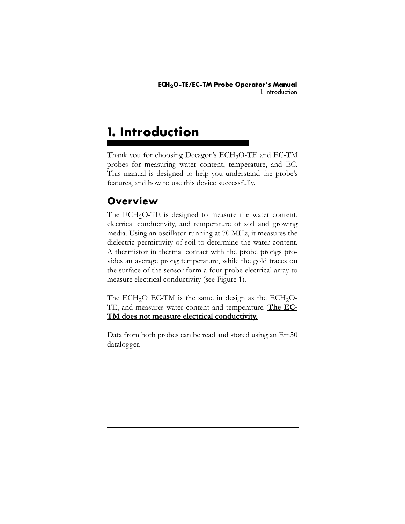# **1. Introduction**

Thank you for choosing Decagon's ECH<sub>2</sub>O-TE and EC-TM probes for measuring water content, temperature, and EC. This manual is designed to help you understand the probe's features, and how to use this device successfully.

## **Overview**

The  $ECH<sub>2</sub>O-TE$  is designed to measure the water content, electrical conductivity, and temperature of soil and growing media. Using an oscillator running at 70 MHz, it measures the dielectric permittivity of soil to determine the water content. A thermistor in thermal contact with the probe prongs provides an average prong temperature, while the gold traces on the surface of the sensor form a four-probe electrical array to measure electrical conductivity (see Figure 1).

The ECH<sub>2</sub>O EC-TM is the same in design as the ECH<sub>2</sub>O-TE, and measures water content and temperature. **The EC-TM does not measure electrical conductivity.**

Data from both probes can be read and stored using an Em50 datalogger.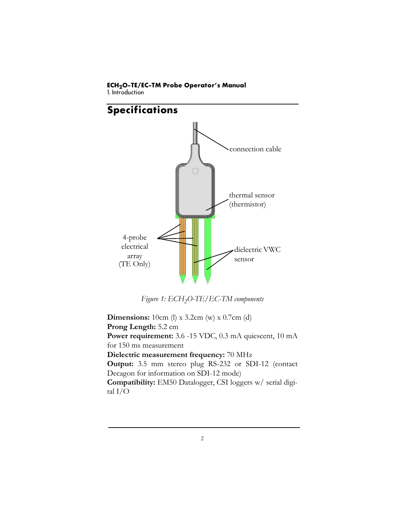1. Introduction



Figure 1: ECH<sub>2</sub>O-TE/EC-TM components

**Dimensions:** 10cm (l) x 3.2cm (w) x 0.7cm (d) **Prong Length:** 5.2 cm **Power requirement:** 3.6 -15 VDC, 0.3 mA quiescent, 10 mA for 150 ms measurement **Dielectric measurement frequency:** 70 MHz **Output:** 3.5 mm stereo plug RS-232 or SDI-12 (contact Decagon for information on SDI-12 mode) **Compatibility:** EM50 Datalogger, CSI loggers w/ serial digital I/O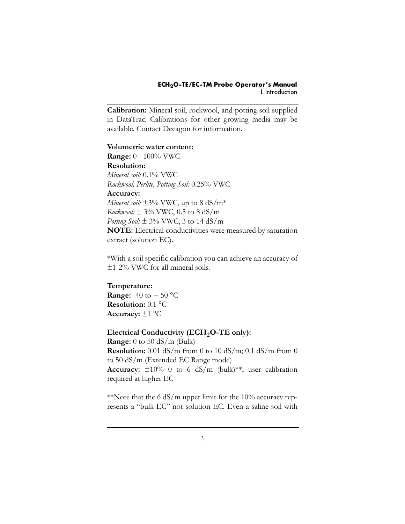**Calibration:** Mineral soil, rockwool, and potting soil supplied in DataTrac. Calibrations for other growing media may be available. Contact Decagon for information.

**Volumetric water content: Range:** 0 - 100% VWC **Resolution:** *Mineral soil:* 0.1% VWC *Rockwool, Perlite, Potting Soil:* 0.25% VWC **Accuracy:**  *Mineral soil:*  $\pm$ 3% VWC, up to 8 dS/m<sup>\*</sup> *Rockwool:* ± 3% VWC, 0.5 to 8 dS/m *Potting Soil:* ± 3% VWC, 3 to 14 dS/m **NOTE:** Electrical conductivities were measured by saturation extract (solution EC).

\*With a soil specific calibration you can achieve an accuracy of ±1-2% VWC for all mineral soils.

**Temperature: Range:** -40 to + 50  $^{\circ}$ C **Resolution:** 0.1 °C **Accuracy:** ±1 °C

**Electrical Conductivity (ECH<sub>2</sub>O-TE only): Range:** 0 to 50 dS/m (Bulk) **Resolution:** 0.01 dS/m from 0 to 10 dS/m; 0.1 dS/m from 0 to 50 dS/m (Extended EC Range mode) **Accuracy:** ±10% 0 to 6 dS/m (bulk)\*\*; user calibration required at higher EC

\*Note that the 6  $dS/m$  upper limit for the 10% accuracy represents a "bulk EC" not solution EC. Even a saline soil with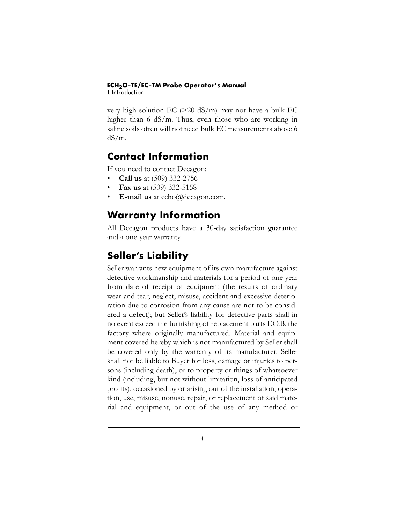1. Introduction

very high solution  $EC$  ( $>20$  dS/m) may not have a bulk EC higher than 6 dS/m. Thus, even those who are working in saline soils often will not need bulk EC measurements above 6 dS/m.

### <span id="page-8-0"></span>**Contact Information**

If you need to contact Decagon:

- **Call us** at (509) 332-2756
- **Fax us** at (509) 332-5158
- **E-mail us** at echo@decagon.com.

## <span id="page-8-2"></span>**Warranty Information**

All Decagon products have a 30-day satisfaction guarantee and a one-year warranty.

# <span id="page-8-1"></span>**Seller's Liability**

Seller warrants new equipment of its own manufacture against defective workmanship and materials for a period of one year from date of receipt of equipment (the results of ordinary wear and tear, neglect, misuse, accident and excessive deterioration due to corrosion from any cause are not to be considered a defect); but Seller's liability for defective parts shall in no event exceed the furnishing of replacement parts F.O.B. the factory where originally manufactured. Material and equipment covered hereby which is not manufactured by Seller shall be covered only by the warranty of its manufacturer. Seller shall not be liable to Buyer for loss, damage or injuries to persons (including death), or to property or things of whatsoever kind (including, but not without limitation, loss of anticipated profits), occasioned by or arising out of the installation, operation, use, misuse, nonuse, repair, or replacement of said material and equipment, or out of the use of any method or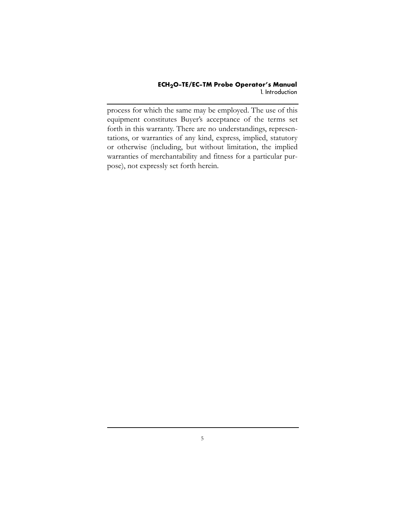process for which the same may be employed. The use of this equipment constitutes Buyer's acceptance of the terms set forth in this warranty. There are no understandings, representations, or warranties of any kind, express, implied, statutory or otherwise (including, but without limitation, the implied warranties of merchantability and fitness for a particular purpose), not expressly set forth herein.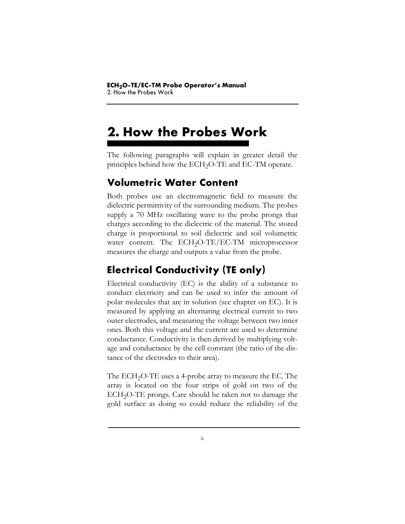# **2. How the Probes Work**

The following paragraphs will explain in greater detail the principles behind how the ECH<sub>2</sub>O-TE and EC-TM operate.

### <span id="page-10-1"></span>**Volumetric Water Content**

Both probes use an electromagnetic field to measure the dielectric permittivity of the surrounding medium. The probes supply a 70 MHz oscillating wave to the probe prongs that charges according to the dielectric of the material. The stored charge is proportional to soil dielectric and soil volumetric water content. The  $ECH<sub>2</sub>O-TE/EC-TM$  microprocessor measures the charge and outputs a value from the probe.

# <span id="page-10-0"></span>**Electrical Conductivity (TE only)**

Electrical conductivity (EC) is the ability of a substance to conduct electricity and can be used to infer the amount of polar molecules that are in solution (see chapter on EC). It is measured by applying an alternating electrical current to two outer electrodes, and measuring the voltage between two inner ones. Both this voltage and the current are used to determine conductance. Conductivity is then derived by multiplying voltage and conductance by the cell constant (the ratio of the distance of the electrodes to their area).

The  $ECH<sub>2</sub>O-TE$  uses a 4-probe array to measure the EC. The array is located on the four strips of gold on two of the ECH<sub>2</sub>O-TE prongs. Care should be taken not to damage the gold surface as doing so could reduce the reliability of the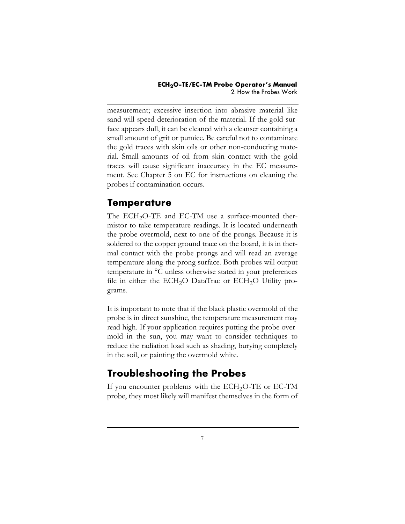measurement; excessive insertion into abrasive material like sand will speed deterioration of the material. If the gold surface appears dull, it can be cleaned with a cleanser containing a small amount of grit or pumice. Be careful not to contaminate the gold traces with skin oils or other non-conducting material. Small amounts of oil from skin contact with the gold traces will cause significant inaccuracy in the EC measurement. See Chapter 5 on EC for instructions on cleaning the probes if contamination occurs.

### <span id="page-11-0"></span>**Temperature**

The ECH<sub>2</sub>O-TE and EC-TM use a surface-mounted thermistor to take temperature readings. It is located underneath the probe overmold, next to one of the prongs. Because it is soldered to the copper ground trace on the board, it is in thermal contact with the probe prongs and will read an average temperature along the prong surface. Both probes will output temperature in °C unless otherwise stated in your preferences file in either the ECH<sub>2</sub>O DataTrac or ECH<sub>2</sub>O Utility programs.

It is important to note that if the black plastic overmold of the probe is in direct sunshine, the temperature measurement may read high. If your application requires putting the probe overmold in the sun, you may want to consider techniques to reduce the radiation load such as shading, burying completely in the soil, or painting the overmold white.

## **Troubleshooting the Probes**

If you encounter problems with the  $ECH<sub>2</sub>O-TE$  or  $EC-TM$ probe, they most likely will manifest themselves in the form of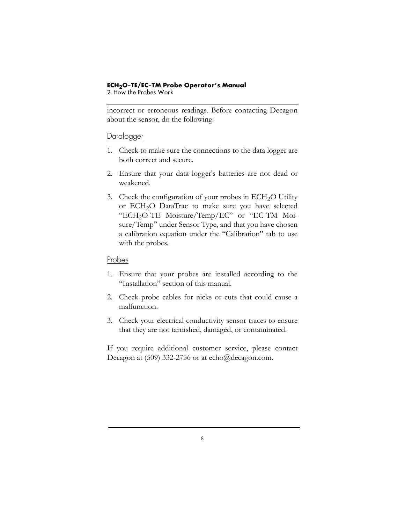#### **ECH2O-TE/EC-TM Probe Operator's Manual** 2. How the Probes Work

incorrect or erroneous readings. Before contacting Decagon about the sensor, do the following:

#### **Datalogger**

- 1. Check to make sure the connections to the data logger are both correct and secure.
- 2. Ensure that your data logger's batteries are not dead or weakened.
- 3. Check the configuration of your probes in  $ECH<sub>2</sub>O$  Utility or ECH<sub>2</sub>O DataTrac to make sure you have selected "ECH<sub>2</sub>O-TE Moisture/Temp/EC" or "EC-TM Moisure/Temp" under Sensor Type, and that you have chosen a calibration equation under the "Calibration" tab to use with the probes.

#### Probes

- 1. Ensure that your probes are installed according to the "Installation" section of this manual.
- 2. Check probe cables for nicks or cuts that could cause a malfunction.
- 3. Check your electrical conductivity sensor traces to ensure that they are not tarnished, damaged, or contaminated.

If you require additional customer service, please contact Decagon at (509) 332-2756 or at echo@decagon.com.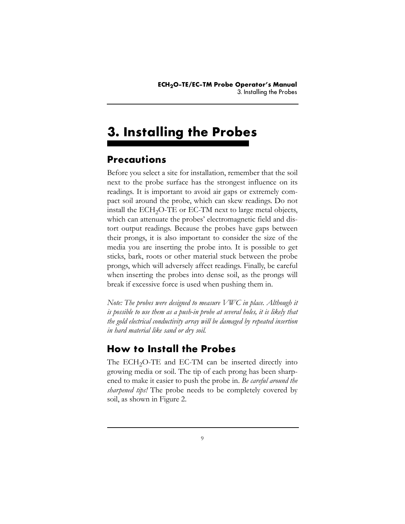# **3. Installing the Probes**

## <span id="page-13-0"></span>**Precautions**

Before you select a site for installation, remember that the soil next to the probe surface has the strongest influence on its readings. It is important to avoid air gaps or extremely compact soil around the probe, which can skew readings. Do not install the  $ECH<sub>2</sub>O-TE$  or  $EC-TM$  next to large metal objects, which can attenuate the probes' electromagnetic field and distort output readings. Because the probes have gaps between their prongs, it is also important to consider the size of the media you are inserting the probe into. It is possible to get sticks, bark, roots or other material stuck between the probe prongs, which will adversely affect readings. Finally, be careful when inserting the probes into dense soil, as the prongs will break if excessive force is used when pushing them in.

*Note: The probes were designed to measure VWC in place. Although it is possible to use them as a push-in probe at several holes, it is likely that the gold electrical conductivity array will be damaged by repeated insertion in hard material like sand or dry soil.*

## **How to Install the Probes**

The ECH<sub>2</sub>O-TE and EC-TM can be inserted directly into growing media or soil. The tip of each prong has been sharpened to make it easier to push the probe in. *Be careful around the sharpened tips!* The probe needs to be completely covered by soil, as shown in Figure 2.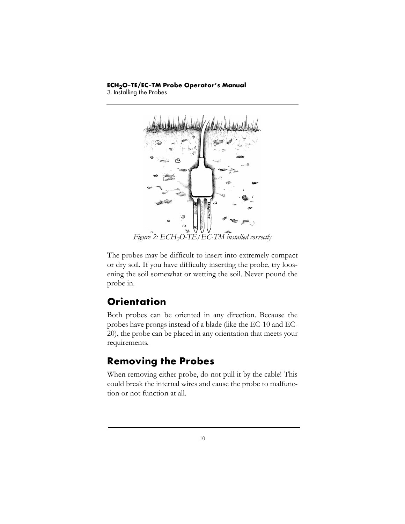3. Installing the Probes



The probes may be difficult to insert into extremely compact or dry soil. If you have difficulty inserting the probe, try loosening the soil somewhat or wetting the soil. Never pound the probe in.

## <span id="page-14-0"></span>**Orientation**

Both probes can be oriented in any direction. Because the probes have prongs instead of a blade (like the EC-10 and EC-20), the probe can be placed in any orientation that meets your requirements.

## <span id="page-14-1"></span>**Removing the Probes**

When removing either probe, do not pull it by the cable! This could break the internal wires and cause the probe to malfunction or not function at all.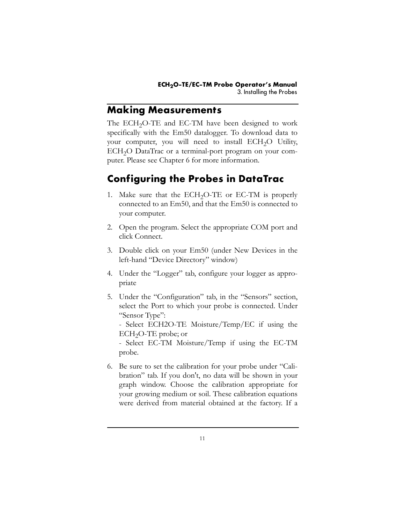### **Making Measurements**

The ECH<sub>2</sub>O-TE and EC-TM have been designed to work specifically with the Em50 datalogger. To download data to your computer, you will need to install ECH<sub>2</sub>O Utility, ECH<sub>2</sub>O DataTrac or a terminal-port program on your computer. Please see Chapter 6 for more information.

# <span id="page-15-0"></span>**Configuring the Probes in DataTrac**

- 1. Make sure that the  $ECH<sub>2</sub>O-TE$  or EC-TM is properly connected to an Em50, and that the Em50 is connected to your computer.
- 2. Open the program. Select the appropriate COM port and click Connect.
- 3. Double click on your Em50 (under New Devices in the left-hand "Device Directory" window)
- 4. Under the "Logger" tab, configure your logger as appropriate
- 5. Under the "Configuration" tab, in the "Sensors" section, select the Port to which your probe is connected. Under "Sensor Type":

- Select ECH2O-TE Moisture/Temp/EC if using the  $ECH<sub>2</sub>O-TE$  probe; or

- Select EC-TM Moisture/Temp if using the EC-TM probe.

6. Be sure to set the calibration for your probe under "Calibration" tab. If you don't, no data will be shown in your graph window. Choose the calibration appropriate for your growing medium or soil. These calibration equations were derived from material obtained at the factory. If a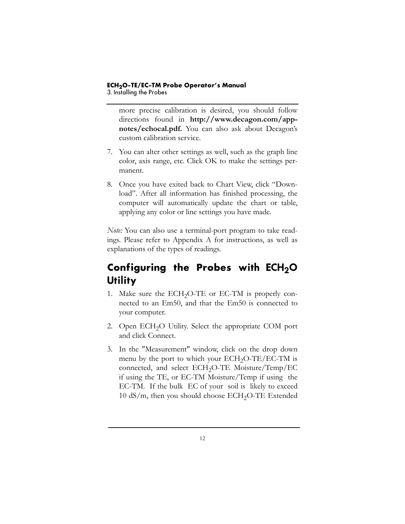3. Installing the Probes

more precise calibration is desired, you should follow directions found in **http://www.decagon.com/appnotes/echocal.pdf.** You can also ask about Decagon's custom calibration service.

- 7. You can alter other settings as well, such as the graph line color, axis range, etc. Click OK to make the settings permanent.
- 8. Once you have exited back to Chart View, click "Download". After all information has finished processing, the computer will automatically update the chart or table, applying any color or line settings you have made.

*Note:* You can also use a terminal-port program to take readings. Please refer to Appendix A for instructions, as well as explanations of the types of readings.

## **Configuring the Probes with ECH<sub>2</sub>O Utility**

- 1. Make sure the  $ECH<sub>2</sub>O-TE$  or  $EC-TM$  is properly connected to an Em50, and that the Em50 is connected to your computer.
- 2. Open ECH<sub>2</sub>O Utility. Select the appropriate COM port and click Connect.
- 3. In the "Measurement" window, click on the drop down menu by the port to which your  $ECH<sub>2</sub>O-TE/EC-TM$  is connected, and select ECH<sub>2</sub>O-TE Moisture/Temp/EC if using the TE, or EC-TM Moisture/Temp if using the EC-TM. If the bulk EC of your soil is likely to exceed  $10 \text{ dS/m}$ , then you should choose ECH<sub>2</sub>O-TE Extended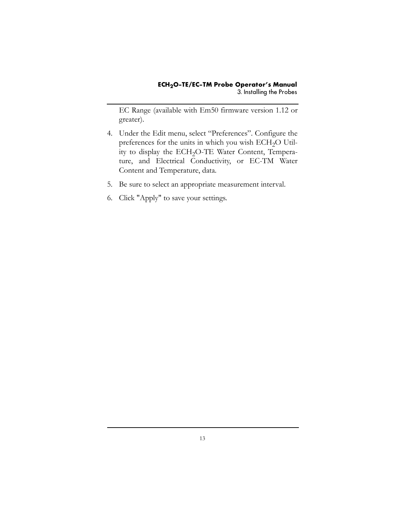EC Range (available with Em50 firmware version 1.12 or greater).

- 4. Under the Edit menu, select "Preferences". Configure the preferences for the units in which you wish  $ECH<sub>2</sub>O$  Utility to display the ECH<sub>2</sub>O-TE Water Content, Temperature, and Electrical Conductivity, or EC-TM Water Content and Temperature, data.
- 5. Be sure to select an appropriate measurement interval.
- 6. Click "Apply" to save your settings.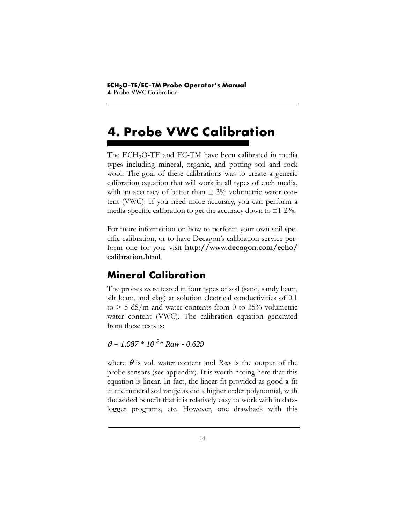# **4. Probe VWC Calibration**

The ECH<sub>2</sub>O-TE and EC-TM have been calibrated in media types including mineral, organic, and potting soil and rock wool. The goal of these calibrations was to create a generic calibration equation that will work in all types of each media, with an accuracy of better than  $\pm$  3% volumetric water content (VWC). If you need more accuracy, you can perform a media-specific calibration to get the accuracy down to  $\pm$ 1-2%.

For more information on how to perform your own soil-specific calibration, or to have Decagon's calibration service perform one for you, visit **http://www.decagon.com/echo/ calibration.html**.

## <span id="page-18-0"></span>**Mineral Calibration**

The probes were tested in four types of soil (sand, sandy loam, silt loam, and clay) at solution electrical conductivities of 0.1 to  $> 5$  dS/m and water contents from 0 to 35% volumetric water content (VWC). The calibration equation generated from these tests is:

<sup>θ</sup> *= 1.087 \* 10-3\* Raw - 0.629*

where  $\theta$  is vol. water content and *Raw* is the output of the probe sensors (see appendix). It is worth noting here that this equation is linear. In fact, the linear fit provided as good a fit in the mineral soil range as did a higher order polynomial, with the added benefit that it is relatively easy to work with in datalogger programs, etc. However, one drawback with this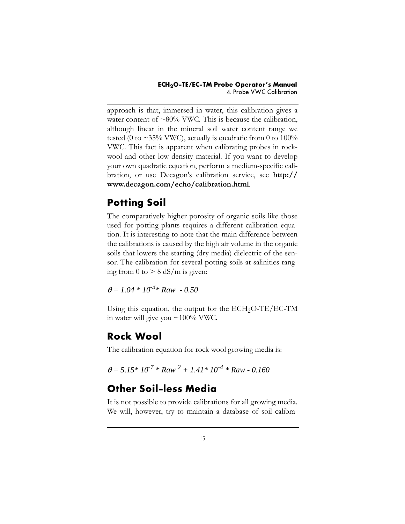approach is that, immersed in water, this calibration gives a water content of  $\sim 80\%$  VWC. This is because the calibration, although linear in the mineral soil water content range we tested (0 to  $\sim$ 35% VWC), actually is quadratic from 0 to 100% VWC. This fact is apparent when calibrating probes in rockwool and other low-density material. If you want to develop your own quadratic equation, perform a medium-specific calibration, or use Decagon's calibration service, see **http:// www.decagon.com/echo/calibration.html**.

# <span id="page-19-0"></span>**Potting Soil**

The comparatively higher porosity of organic soils like those used for potting plants requires a different calibration equation. It is interesting to note that the main difference between the calibrations is caused by the high air volume in the organic soils that lowers the starting (dry media) dielectric of the sensor. The calibration for several potting soils at salinities ranging from  $0$  to  $> 8$  dS/m is given:

 $\theta = 1.04 * 10^{-3} * Raw - 0.50$ 

Using this equation, the output for the  $ECH<sub>2</sub>O-TE/EC-TM$ in water will give you ~100% VWC.

## **Rock Wool**

The calibration equation for rock wool growing media is:

<span id="page-19-1"></span>
$$
\theta = 5.15 * 10^{-7} * Raw^2 + 1.41 * 10^{-4} * Raw - 0.160
$$

## **Other Soil-less Media**

It is not possible to provide calibrations for all growing media. We will, however, try to maintain a database of soil calibra-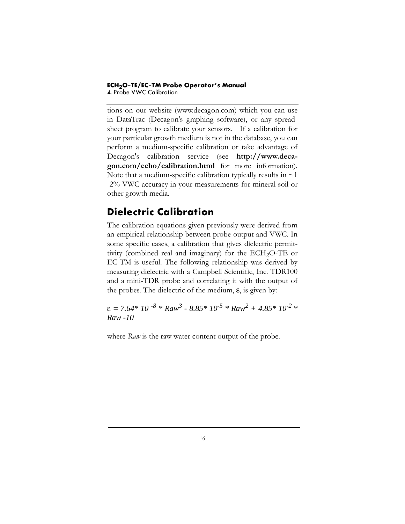#### **ECH2O-TE/EC-TM Probe Operator's Manual** 4. Probe VWC Calibration

tions on our website (www.decagon.com) which you can use in DataTrac (Decagon's graphing software), or any spreadsheet program to calibrate your sensors. If a calibration for your particular growth medium is not in the database, you can perform a medium-specific calibration or take advantage of Decagon's calibration service (see **http://www.decagon.com/echo/calibration.html** for more information). Note that a medium-specific calibration typically results in  $\sim$  1 -2% VWC accuracy in your measurements for mineral soil or other growth media.

## <span id="page-20-0"></span>**Dielectric Calibration**

The calibration equations given previously were derived from an empirical relationship between probe output and VWC. In some specific cases, a calibration that gives dielectric permittivity (combined real and imaginary) for the  $ECH<sub>2</sub>O-TE$  or EC-TM is useful. The following relationship was derived by measuring dielectric with a Campbell Scientific, Inc. TDR100 and a mini-TDR probe and correlating it with the output of the probes. The dielectric of the medium,  $\varepsilon$ , is given by:

 $\varepsilon$  = 7.64\* 10 <sup>-8</sup> \* Raw<sup>3</sup> - 8.85\* 10<sup>-5</sup> \* Raw<sup>2</sup> + 4.85\* 10<sup>-2</sup> \* *Raw -10*

where *Raw* is the raw water content output of the probe.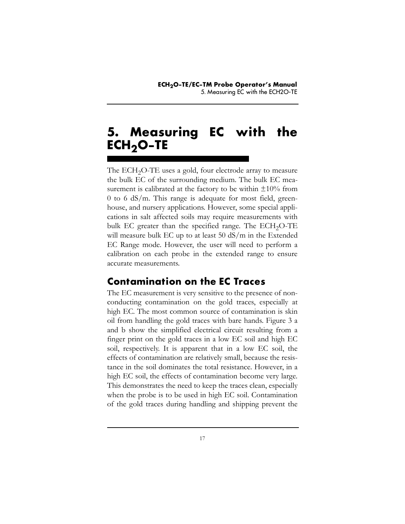# <span id="page-21-0"></span>**5. Measuring EC with the** ECH<sub>2</sub>O-TE

The ECH<sub>2</sub>O-TE uses a gold, four electrode array to measure the bulk EC of the surrounding medium. The bulk EC measurement is calibrated at the factory to be within  $\pm 10\%$  from 0 to 6 dS/m. This range is adequate for most field, greenhouse, and nursery applications. However, some special applications in salt affected soils may require measurements with bulk EC greater than the specified range. The  $ECH<sub>2</sub>O-TE$ will measure bulk EC up to at least 50 dS/m in the Extended EC Range mode. However, the user will need to perform a calibration on each probe in the extended range to ensure accurate measurements.

## **Contamination on the EC Traces**

The EC measurement is very sensitive to the presence of nonconducting contamination on the gold traces, especially at high EC. The most common source of contamination is skin oil from handling the gold traces with bare hands. Figure 3 a and b show the simplified electrical circuit resulting from a finger print on the gold traces in a low EC soil and high EC soil, respectively. It is apparent that in a low EC soil, the effects of contamination are relatively small, because the resistance in the soil dominates the total resistance. However, in a high EC soil, the effects of contamination become very large. This demonstrates the need to keep the traces clean, especially when the probe is to be used in high EC soil. Contamination of the gold traces during handling and shipping prevent the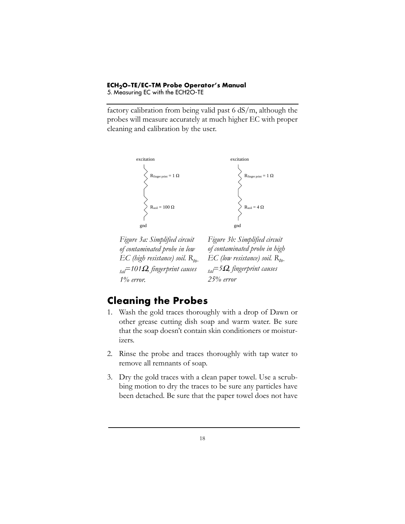#### **ECH2O-TE/EC-TM Probe Operator's Manual** 5. Measuring EC with the ECH2O-TE

factory calibration from being valid past 6 dS/m, although the probes will measure accurately at much higher EC with proper cleaning and calibration by the user.





*Figure 3a: Simplified circuit of contaminated probe in low EC (high resistance) soil. Rtotal=101*Ω*, fingerprint causes 1% error.*

*Figure 3b: Simplified circuit of contaminated probe in high EC* (low resistance) soil. R<sub>to-</sub> *tal=5*Ω*, fingerprint causes 25% error*

## **Cleaning the Probes**

- 1. Wash the gold traces thoroughly with a drop of Dawn or other grease cutting dish soap and warm water. Be sure that the soap doesn't contain skin conditioners or moisturizers.
- 2. Rinse the probe and traces thoroughly with tap water to remove all remnants of soap.
- 3. Dry the gold traces with a clean paper towel. Use a scrubbing motion to dry the traces to be sure any particles have been detached. Be sure that the paper towel does not have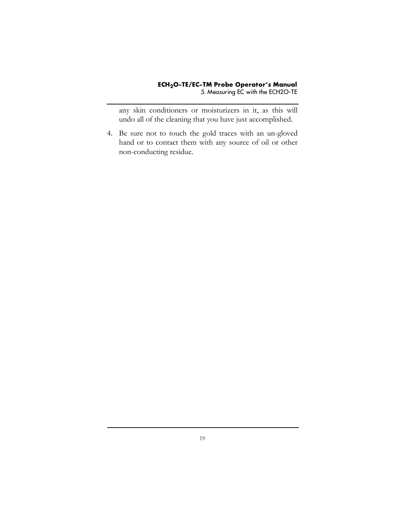any skin conditioners or moisturizers in it, as this will undo all of the cleaning that you have just accomplished.

4. Be sure not to touch the gold traces with an un-gloved hand or to contact them with any source of oil or other non-conducting residue.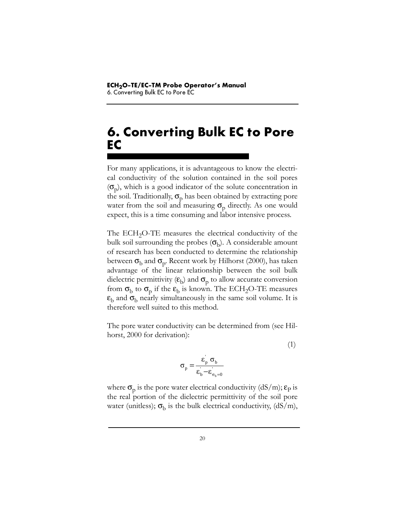# <span id="page-24-0"></span>**6. Converting Bulk EC to Pore EC**

For many applications, it is advantageous to know the electrical conductivity of the solution contained in the soil pores  $(\sigma_{\rm o})$ , which is a good indicator of the solute concentration in the soil. Traditionally,  $\sigma_{p}$  has been obtained by extracting pore water from the soil and measuring  $\sigma_p$  directly. As one would expect, this is a time consuming and labor intensive process.

The  $ECH<sub>2</sub>O-TE$  measures the electrical conductivity of the bulk soil surrounding the probes  $(\sigma_b)$ . A considerable amount of research has been conducted to determine the relationship between  $\sigma_{\rm b}$  and  $\sigma_{\rm p}$ . Recent work by Hilhorst (2000), has taken advantage of the linear relationship between the soil bulk dielectric permittivity  $(\varepsilon_b)$  and  $\sigma_p$  to allow accurate conversion from  $\sigma_b$  to  $\sigma_p$  if the  $\varepsilon_b$  is known. The ECH<sub>2</sub>O-TE measures  $\varepsilon_{\rm b}$  and  $\sigma_{\rm b}$  nearly simultaneously in the same soil volume. It is therefore well suited to this method.

The pore water conductivity can be determined from (see Hilhorst, 2000 for derivation):

(1)

$$
\sigma_{\rm p} = \frac{\varepsilon_{\rm p}^{\prime} \sigma_{\rm b}}{\varepsilon_{\rm b}^{\prime} - \varepsilon_{\sigma_{\rm b} = 0}^{\prime}}
$$

where  $\sigma_p$  is the pore water electrical conductivity (dS/m);  $\varepsilon_p$  is the real portion of the dielectric permittivity of the soil pore water (unitless);  $\sigma_b$  is the bulk electrical conductivity, (dS/m),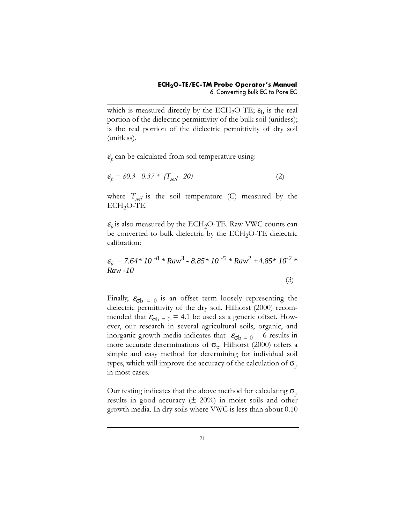which is measured directly by the ECH<sub>2</sub>O-TE;  $\varepsilon_b$  is the real portion of the dielectric permittivity of the bulk soil (unitless); is the real portion of the dielectric permittivity of dry soil (unitless).

 $\varepsilon_p$  can be calculated from soil temperature using:

$$
\mathcal{E}_p = 80.3 - 0.37 * (T_{soil} - 20)
$$
 (2)

where  $T_{soli}$  is the soil temperature (C) measured by the  $ECH<sub>2</sub>O-TE$ .

 $\varepsilon_h$  is also measured by the ECH<sub>2</sub>O-TE. Raw VWC counts can be converted to bulk dielectric by the ECH<sub>2</sub>O-TE dielectric calibration:

$$
\mathcal{E}_b = 7.64 * 10^{-8} * Raw^3 - 8.85 * 10^{-5} * Raw^2 + 4.85 * 10^{-2} *
$$
  
\n*Raw - 10* (3)

Finally,  $\epsilon_{\sigma b} = 0$  is an offset term loosely representing the dielectric permittivity of the dry soil. Hilhorst (2000) recommended that  $\epsilon_{\sigma b} = 0 = 4.1$  be used as a generic offset. However, our research in several agricultural soils, organic, and inorganic growth media indicates that  $\varepsilon_{\text{cib}} = 0 = 6$  results in more accurate determinations of  $\sigma_{p}$ . Hilhorst (2000) offers a simple and easy method for determining for individual soil types, which will improve the accuracy of the calculation of  $\sigma_p$ in most cases.

Our testing indicates that the above method for calculating  $\sigma_p$ results in good accuracy  $(\pm 20\%)$  in moist soils and other growth media. In dry soils where VWC is less than about 0.10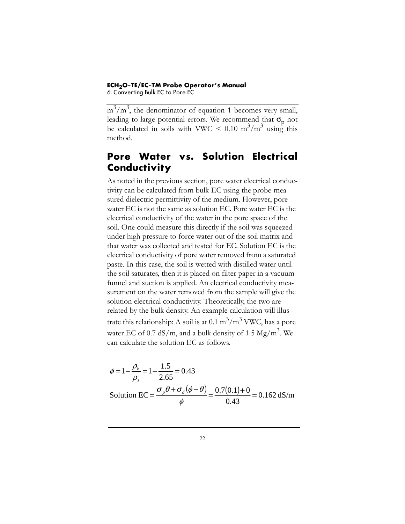#### **ECH2O-TE/EC-TM Probe Operator's Manual** 6. Converting Bulk EC to Pore EC

 $m^3/m^3$ , the denominator of equation 1 becomes very small, leading to large potential errors. We recommend that  $\sigma_p$  not be calculated in soils with VWC <  $0.10 \text{ m}^3/\text{m}^3$  using this method.

### **Pore Water vs. Solution Electrical Conductivity**

As noted in the previous section, pore water electrical conductivity can be calculated from bulk EC using the probe-measured dielectric permittivity of the medium. However, pore water EC is not the same as solution EC. Pore water EC is the electrical conductivity of the water in the pore space of the soil. One could measure this directly if the soil was squeezed under high pressure to force water out of the soil matrix and that water was collected and tested for EC. Solution EC is the electrical conductivity of pore water removed from a saturated paste. In this case, the soil is wetted with distilled water until the soil saturates, then it is placed on filter paper in a vacuum funnel and suction is applied. An electrical conductivity measurement on the water removed from the sample will give the solution electrical conductivity. Theoretically, the two are related by the bulk density. An example calculation will illustrate this relationship: A soil is at 0.1  $\text{m}^3/\text{m}^3$  VWC, has a pore water EC of 0.7 dS/m, and a bulk density of 1.5  $Mg/m<sup>3</sup>$ . We can calculate the solution EC as follows.

$$
\phi = 1 - \frac{\rho_b}{\rho_s} = 1 - \frac{1.5}{2.65} = 0.43
$$
  
Solution EC =  $\frac{\sigma_p \theta + \sigma_d (\phi - \theta)}{\phi} = \frac{0.7(0.1) + 0}{0.43} = 0.162 \text{ dS/m}$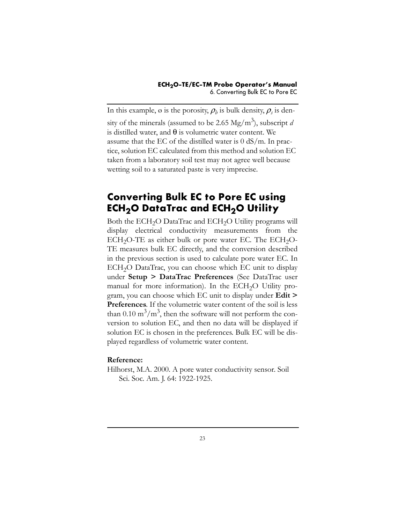In this example,  $\varnothing$  is the porosity,  $\rho_b$  is bulk density,  $\rho_s$  is density of the minerals (assumed to be 2.65 Mg/m<sup>3</sup>), subscript *d* is distilled water, and  $\theta$  is volumetric water content. We assume that the EC of the distilled water is 0 dS/m. In practice, solution EC calculated from this method and solution EC taken from a laboratory soil test may not agree well because wetting soil to a saturated paste is very imprecise.

### **Converting Bulk EC to Pore EC using ECH<sub>2</sub>O DataTrac and ECH<sub>2</sub>O Utility**

Both the ECH<sub>2</sub>O DataTrac and ECH<sub>2</sub>O Utility programs will display electrical conductivity measurements from the  $ECH<sub>2</sub>O-TE$  as either bulk or pore water EC. The  $ECH<sub>2</sub>O-$ TE measures bulk EC directly, and the conversion described in the previous section is used to calculate pore water EC. In ECH<sub>2</sub>O DataTrac, you can choose which EC unit to display under **Setup > DataTrac Preferences** (See DataTrac user manual for more information). In the ECH<sub>2</sub>O Utility program, you can choose which EC unit to display under **Edit > Preferences**. If the volumetric water content of the soil is less than  $0.10 \text{ m}^3/\text{m}^3$ , then the software will not perform the conversion to solution EC, and then no data will be displayed if solution EC is chosen in the preferences. Bulk EC will be displayed regardless of volumetric water content.

#### **Reference:**

Hilhorst, M.A. 2000. A pore water conductivity sensor. Soil Sci. Soc. Am. J. 64: 1922-1925.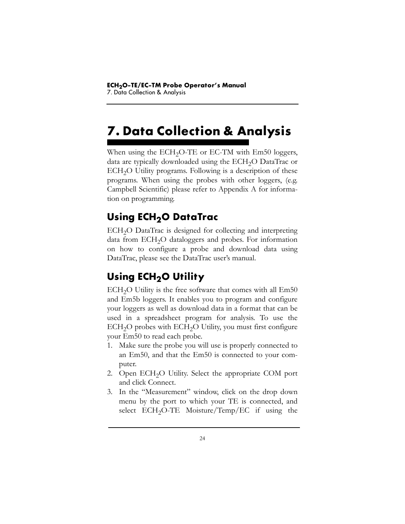# **7. Data Collection & Analysis**

When using the  $ECH<sub>2</sub>O-TE$  or  $EC-TM$  with  $Em50$  loggers, data are typically downloaded using the ECH<sub>2</sub>O DataTrac or  $ECH<sub>2</sub>O$  Utility programs. Following is a description of these programs. When using the probes with other loggers, (e.g. Campbell Scientific) please refer to Appendix A for information on programming.

# **Using ECH2O DataTrac**

ECH<sub>2</sub>O DataTrac is designed for collecting and interpreting data from  $ECH<sub>2</sub>O$  dataloggers and probes. For information on how to configure a probe and download data using DataTrac, please see the DataTrac user's manual.

# **Using ECH<sub>2</sub>O Utility**

 $ECH<sub>2</sub>O$  Utility is the free software that comes with all  $Em50$ and Em5b loggers. It enables you to program and configure your loggers as well as download data in a format that can be used in a spreadsheet program for analysis. To use the  $ECH<sub>2</sub>O$  probes with  $ECH<sub>2</sub>O$  Utility, you must first configure your Em50 to read each probe.

- 1. Make sure the probe you will use is properly connected to an Em50, and that the Em50 is connected to your computer.
- 2. Open ECH<sub>2</sub>O Utility. Select the appropriate COM port and click Connect.
- 3. In the "Measurement" window, click on the drop down menu by the port to which your TE is connected, and select  $ECH<sub>2</sub>O-TE$  Moisture/Temp/EC if using the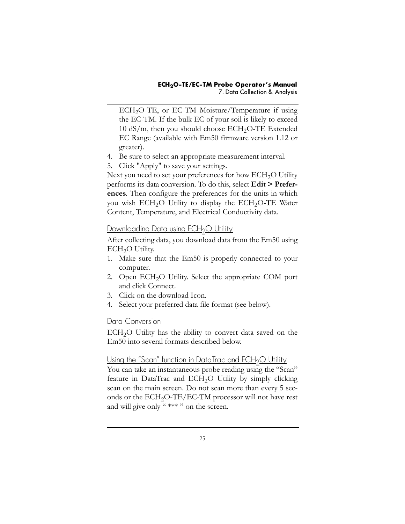ECH<sub>2</sub>O-TE, or EC-TM Moisture/Temperature if using the EC-TM. If the bulk EC of your soil is likely to exceed  $10 \text{ dS/m}$ , then you should choose ECH<sub>2</sub>O-TE Extended EC Range (available with Em50 firmware version 1.12 or greater).

- 4. Be sure to select an appropriate measurement interval.
- 5. Click "Apply" to save your settings.

Next you need to set your preferences for how ECH<sub>2</sub>O Utility performs its data conversion. To do this, select **Edit > Preferences**. Then configure the preferences for the units in which you wish  $ECH<sub>2</sub>O$  Utility to display the  $ECH<sub>2</sub>O-TE$  Water Content, Temperature, and Electrical Conductivity data.

#### <span id="page-29-0"></span>Downloading Data using ECH<sub>2</sub>O Utility

After collecting data, you download data from the Em50 using ECH<sub>2</sub>O Utility.

- 1. Make sure that the Em50 is properly connected to your computer.
- 2. Open  $ECH<sub>2</sub>O$  Utility. Select the appropriate COM port and click Connect.
- 3. Click on the download Icon.
- 4. Select your preferred data file format (see below).

#### Data Conversion

 $ECH<sub>2</sub>O$  Utility has the ability to convert data saved on the Em50 into several formats described below.

#### Using the "Scan" function in DataTrac and ECH<sub>2</sub>O Utility

You can take an instantaneous probe reading using the "Scan" feature in DataTrac and  $ECH<sub>2</sub>O$  Utility by simply clicking scan on the main screen. Do not scan more than every 5 seconds or the ECH<sub>2</sub>O-TE/EC-TM processor will not have rest and will give only " \*\*\* " on the screen.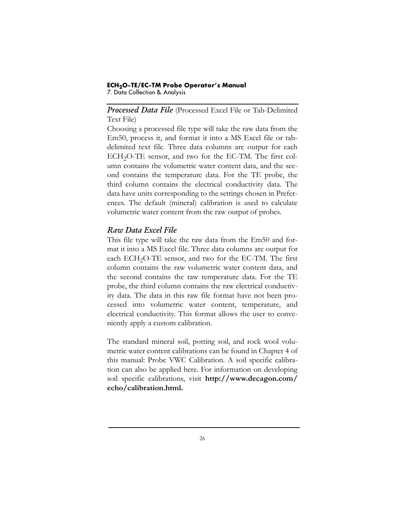7. Data Collection & Analysis

*Processed Data File* (Processed Excel File or Tab-Delimited Text File)

Choosing a processed file type will take the raw data from the Em50, process it, and format it into a MS Excel file or tabdelimited text file. Three data columns are output for each ECH<sub>2</sub>O-TE sensor, and two for the EC-TM. The first column contains the volumetric water content data, and the second contains the temperature data. For the TE probe, the third column contains the electrical conductivity data. The data have units corresponding to the settings chosen in Preferences. The default (mineral) calibration is used to calculate volumetric water content from the raw output of probes.

#### *Raw Data Excel File*

This file type will take the raw data from the Em50 and format it into a MS Excel file. Three data columns are output for each  $ECH<sub>2</sub>O-TE$  sensor, and two for the EC-TM. The first column contains the raw volumetric water content data, and the second contains the raw temperature data. For the TE probe, the third column contains the raw electrical conductivity data. The data in this raw file format have not been processed into volumetric water content, temperature, and electrical conductivity. This format allows the user to conveniently apply a custom calibration.

The standard mineral soil, potting soil, and rock wool volumetric water content calibrations can be found in Chapter 4 of this manual: Probe VWC Calibration. A soil specific calibration can also be applied here. For information on developing soil specific calibrations, visit **http://www.decagon.com/ echo/calibration.html.**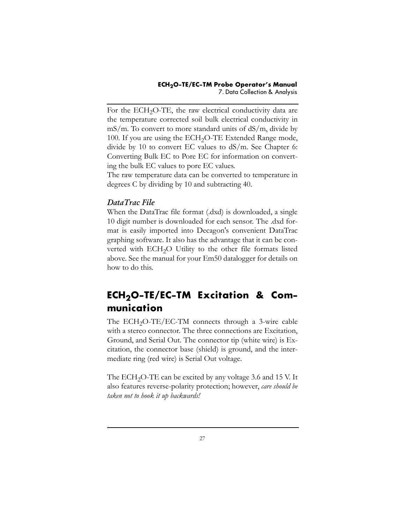For the ECH<sub>2</sub>O-TE, the raw electrical conductivity data are the temperature corrected soil bulk electrical conductivity in mS/m. To convert to more standard units of dS/m, divide by 100. If you are using the  $ECH<sub>2</sub>O-TE$  Extended Range mode, divide by 10 to convert EC values to dS/m. See Chapter 6: Converting Bulk EC to Pore EC for information on converting the bulk EC values to pore EC values.

The raw temperature data can be converted to temperature in degrees C by dividing by 10 and subtracting 40.

#### *DataTrac File*

When the DataTrac file format (.dxd) is downloaded, a single 10 digit number is downloaded for each sensor. The .dxd format is easily imported into Decagon's convenient DataTrac graphing software. It also has the advantage that it can be converted with ECH<sub>2</sub>O Utility to the other file formats listed above. See the manual for your Em50 datalogger for details on how to do this.

## <span id="page-31-0"></span>ECH<sub>2</sub>O-TE/EC-TM Excitation & Com**munication**

The  $ECH<sub>2</sub>O-TE/EC-TM$  connects through a 3-wire cable with a stereo connector. The three connections are Excitation, Ground, and Serial Out. The connector tip (white wire) is Excitation, the connector base (shield) is ground, and the intermediate ring (red wire) is Serial Out voltage.

The ECH<sub>2</sub>O-TE can be excited by any voltage 3.6 and 15 V. It also features reverse-polarity protection; however, *care should be taken not to hook it up backwards!*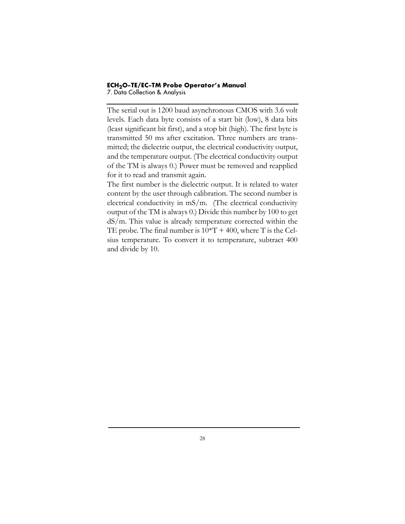7. Data Collection & Analysis

The serial out is 1200 baud asynchronous CMOS with 3.6 volt levels. Each data byte consists of a start bit (low), 8 data bits (least significant bit first), and a stop bit (high). The first byte is transmitted 50 ms after excitation. Three numbers are transmitted; the dielectric output, the electrical conductivity output, and the temperature output. (The electrical conductivity output of the TM is always 0.) Power must be removed and reapplied for it to read and transmit again.

The first number is the dielectric output. It is related to water content by the user through calibration. The second number is electrical conductivity in mS/m. (The electrical conductivity output of the TM is always 0.) Divide this number by 100 to get dS/m. This value is already temperature corrected within the TE probe. The final number is  $10*T + 400$ , where T is the Celsius temperature. To convert it to temperature, subtract 400 and divide by 10.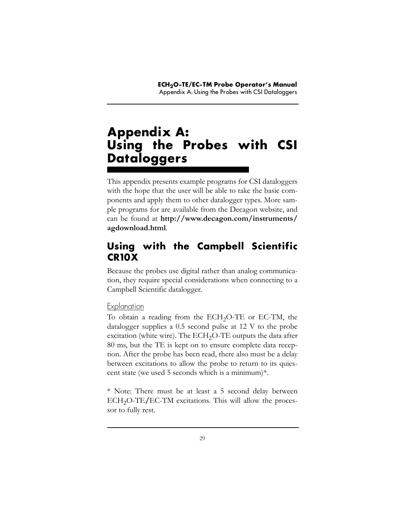# **Appendix A: Using the Probes with CSI Dataloggers**

This appendix presents example programs for CSI dataloggers with the hope that the user will be able to take the basic components and apply them to other datalogger types. More sample programs for are available from the Decagon website, and can be found at **http://www.decagon.com/instruments/ agdownload.html**.

## <span id="page-33-0"></span>**Using with the Campbell Scientific CR10X**

Because the probes use digital rather than analog communication, they require special considerations when connecting to a Campbell Scientific datalogger.

#### **Explanation**

To obtain a reading from the ECH<sub>2</sub>O-TE or EC-TM, the datalogger supplies a 0.5 second pulse at 12 V to the probe excitation (white wire). The  $ECH<sub>2</sub>O-TE$  outputs the data after 80 ms, but the TE is kept on to ensure complete data reception. After the probe has been read, there also must be a delay between excitations to allow the probe to return to its quiescent state (we used 5 seconds which is a minimum)\*.

\* Note: There must be at least a 5 second delay between ECH<sub>2</sub>O-TE/EC-TM excitations. This will allow the processor to fully rest.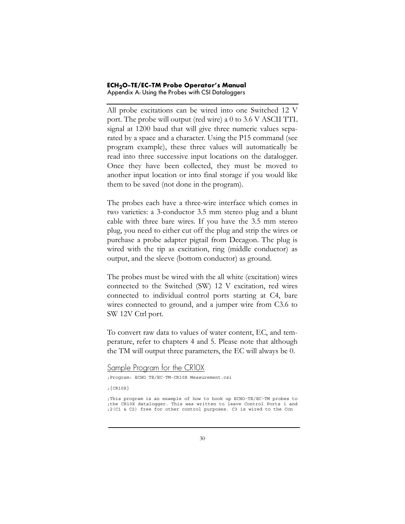#### **ECH2O-TE/EC-TM Probe Operator's Manual** Appendix A: Using the Probes with CSI Dataloggers

All probe excitations can be wired into one Switched 12 V port. The probe will output (red wire) a 0 to 3.6 V ASCII TTL signal at 1200 baud that will give three numeric values separated by a space and a character. Using the P15 command (see program example), these three values will automatically be read into three successive input locations on the datalogger. Once they have been collected, they must be moved to another input location or into final storage if you would like them to be saved (not done in the program).

The probes each have a three-wire interface which comes in two varieties: a 3-conductor 3.5 mm stereo plug and a blunt cable with three bare wires. If you have the 3.5 mm stereo plug, you need to either cut off the plug and strip the wires or purchase a probe adapter pigtail from Decagon. The plug is wired with the tip as excitation, ring (middle conductor) as output, and the sleeve (bottom conductor) as ground.

The probes must be wired with the all white (excitation) wires connected to the Switched (SW) 12 V excitation, red wires connected to individual control ports starting at C4, bare wires connected to ground, and a jumper wire from C3.6 to SW 12V Ctrl port.

To convert raw data to values of water content, EC, and temperature, refer to chapters 4 and 5. Please note that although the TM will output three parameters, the EC will always be 0.

```
Sample Program for the CR10X
```
;Program: ECHO TE/EC-TM-CR10X Measurement.csi

;{CR10X}

;This program is an example of how to hook up ECHO-TE/EC-TM probes to ;the CR10X datalogger. This was written to leave Control Ports 1 and ;2(C1 & C2) free for other control purposes. C3 is wired to the Con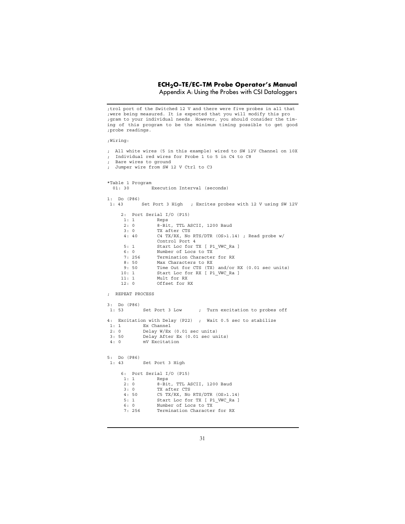#### **ECH2O-TE/EC-TM Probe Operator's Manual** Appendix A: Using the Probes with CSI Dataloggers

;trol port of the Switched 12 V and there were five probes in all that ;were being measured. It is expected that you will modify this pro ;gram to your individual needs. However, you should consider the timing of this program to be the minimum timing possible to get good ;probe readings. ;Wiring: ; All white wires (5 in this example) wired to SW 12V Channel on 10X Individual red wires for Probe 1 to 5 in C4 to C8 ; Bare wires to ground ; Jumper wire from SW 12 V Ctrl to C3 \*Table 1 Program 01: 30 Execution Interval (seconds) 1: Do (P86) Set Port 3 High ; Excites probes with 12 V using SW 12V 2: Port Serial I/O (P15) 1: 1 Reps 2: 0 8-Bit, TTL ASCII, 1200 Baud 3: 0 TX after CTS<br>4: 40 C4 TX/RX, No C4 TX/RX, No RTS/DTR  $(OS>1.14)$ ; Read probe w/ Control Port 4<br>5: 1 Start Loc for ! 5: 1 Start Loc for TX [ P1\_VWC\_Ra ]<br>6: 0 Number of Locs to TX 6: 0 Number of Locs to TX<br>7: 256 Termination Character 7: 256 Termination Character for RX<br>8: 50 Max Characters to RX Max Characters to RX 9: 50 Time Out for CTS (TX) and/or RX (0.01 sec units) 10: 1 Start Loc for RX [ P1\_VWC\_Ra ] Mult for RX 12: 0 Offset for RX ; REPEAT PROCESS 3: Do (P86) 1: 53 Set Port 3 Low ; Turn excitation to probes off 4: Excitation with Delay (P22) ; Wait 0.5 sec to stabilize Ex Channel 2: 0 Delay W/Ex (0.01 sec units)<br>3: 50 Delay After Ex (0.01 sec un Delay After Ex (0.01 sec units) 4: 0 mV Excitation 5: Do (P86) 1: 43 Set Port 3 High 6: Port Serial I/O (P15) 1: 1 Reps<br>2: 0 8-Bit 2: 0 8-Bit, TTL ASCII, 1200 Baud 3: 0 TX after CTS 4: 50 C5 TX/RX, No RTS/DTR (OS>1.14)<br>5: 1 Start Loc for TX [ P1\_VWC\_Ra ] Start Loc for TX [ P1 VWC Ra ] 6: 0 Number of Locs to TX 7: 256 Termination Character for RX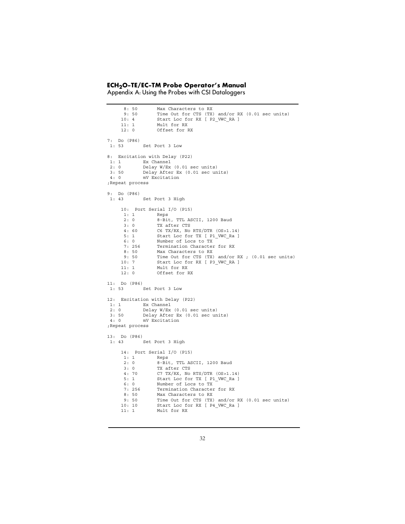Appendix A: Using the Probes with CSI Dataloggers

 8: 50 Max Characters to RX 9: 50 Time Out for CTS (TX) and/or RX (0.01 sec units) 10: 4 Start Loc for RX [ P2 VWC RA ] 11: 1 Mult for RX 12: 0 Offset for RX 7: Do (P86) Set Port 3 Low 8: Excitation with Delay (P22) 1: 1 Ex Channel 2: 0 Delay W/Ex (0.01 sec units) 3: 50 Delay After Ex (0.01 sec units)<br>4: 0 mV Excitation mV Excitation ;Repeat process 9: Do (P86) 1: 43 Set Port 3 High 10: Port Serial I/O (P15) 1: 1 Reps 2: 0 8-Bit, TTL ASCII, 1200 Baud 3: 0 TX after CTS 4: 60 C6 TX/RX, No RTS/DTR (OS>1.14) Start Loc for TX [ P1 VWC Ra ] 6: 0 Number of Locs to TX 7: 256 Termination Character for RX 8: 50 Max Characters to RX 9: 50 Time Out for CTS (TX) and/or RX ; (0.01 sec units)<br>10: 7 Start Loc for RX [ P3\_VWC\_RA ] 10: 7 Start Loc for RX [ P3 VWC RA ] 11: 1 Mult for RX 12: 0 Offset for RX 11: Do (P86) 1: 53 Set Port 3 Low 12: Excitation with Delay (P22)<br>1: 1 Ex Channel Ex Channel 2: 0 Delay W/Ex (0.01 sec units)<br>3: 50 Delay After Ex (0.01 sec un 3: 50 Delay After Ex (0.01 sec units)<br>4: 0 mV Excitation mV Excitation ;Repeat process 13: Do (P86) 1: 43 Set Port 3 High 14: Port Serial I/O (P15) 1: 1 Reps 2: 0 8-Bit, TTL ASCII, 1200 Baud 3: 0 TX after CTS 4: 70 C7 TX/RX, No RTS/DTR (OS>1.14) Start Loc for TX [ P1\_VWC\_Ra ] 6: 0 Number of Locs to TX 7: 256 Termination Character for RX 8: 50 Max Characters to RX 9: 50 Time Out for CTS (TX) and/or RX (0.01 sec units)<br>10: 10 Start Loc for RX [ P4\_VWC\_Ra ] Start Loc for RX [ P4\_VWC\_Ra ] 11: 1 Mult for RX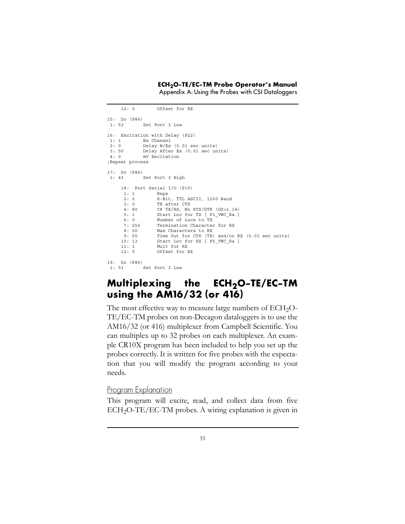Appendix A: Using the Probes with CSI Dataloggers

```
 12: 0 Offset for RX
15: Do (P86)
 1: 53 Set Port 3 Low
16: Excitation with Delay (P22)
 1: 1 Ex Channel
 2: 0 Delay W/Ex (0.01 sec units)
 3: 50 Delay After Ex (0.01 sec units)
 4: 0 mV Excitation
;Repeat process
17: Do (P86)
 1: 43 Set Port 3 High
     18: Port Serial I/O (P15)
             Reps
      2: 0 8-Bit, TTL ASCII, 1200 Baud
      3: 0 TX after CTS
     4: 80 C8 TX/RX, No RTS/DTR (OS>1.14)<br>5: 1 Start Loc for TX [ P1_VWC_Ra ]
               Start Loc for TX [ P1 VWC Ra ]
      6: 0 Number of Locs to TX
      7: 256 Termination Character for RX
      8: 50 Max Characters to RX
      9: 50 Time Out for CTS (TX) and/or RX (0.01 sec units)
     10: 13 Start Loc for RX [ P5_VWC_Ra ]
     11: 1 Mult for RX
     12: 0 Offset for RX
19: Do (P86)
          Set Port 3 Low
```
### <span id="page-37-0"></span>**Multiplexing the ECH2O-TE/EC-TM using the AM16/32 (or 416)**

The most effective way to measure large numbers of  $ECH<sub>2</sub>O-$ TE/EC-TM probes on non-Decagon dataloggers is to use the AM16/32 (or 416) multiplexer from Campbell Scientific. You can multiplex up to 32 probes on each multiplexer. An example CR10X program has been included to help you set up the probes correctly. It is written for five probes with the expectation that you will modify the program according to your needs.

#### Program Explanation

This program will excite, read, and collect data from five  $ECH<sub>2</sub>O-TE/EC-TM$  probes. A wiring explanation is given in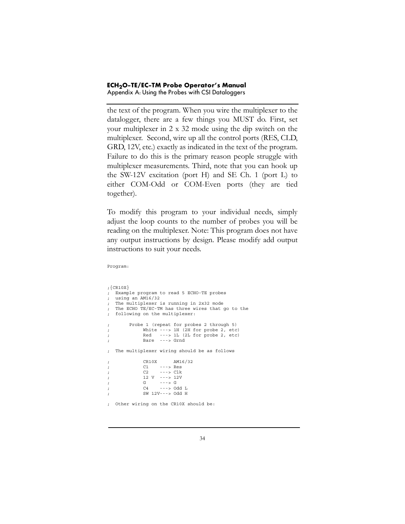Appendix A: Using the Probes with CSI Dataloggers

the text of the program. When you wire the multiplexer to the datalogger, there are a few things you MUST do. First, set your multiplexer in 2 x 32 mode using the dip switch on the multiplexer. Second, wire up all the control ports (RES, CLD, GRD, 12V, etc.) exactly as indicated in the text of the program. Failure to do this is the primary reason people struggle with multiplexer measurements. Third, note that you can hook up the SW-12V excitation (port H) and SE Ch. 1 (port L) to either COM-Odd or COM-Even ports (they are tied together).

To modify this program to your individual needs, simply adjust the loop counts to the number of probes you will be reading on the multiplexer. Note: This program does not have any output instructions by design. Please modify add output instructions to suit your needs.

;{CR10X} ; Example program to read 5 ECHO-TE probes ; using an AM16/32 ; The multiplexer is running in 2x32 mode ; The ECHO TE/EC-TM has three wires that go to the ; following on the multiplexer: ; Probe 1 (repeat for probes 2 through 5) ; White ---> 1H (2H for probe 2, etc) ; Red ---> 1L (2L for probe 2, etc) ; Bare ---> Grnd ; The multiplexer wiring should be as follows ; CR10X AM16/32 ; C1 ---> Res ; C2 ---> Clk ; 12 V ---> 12V ; G ---> G ; C4 ---> Odd L ; SW 12V---> Odd H ; Other wiring on the CR10X should be:

Program: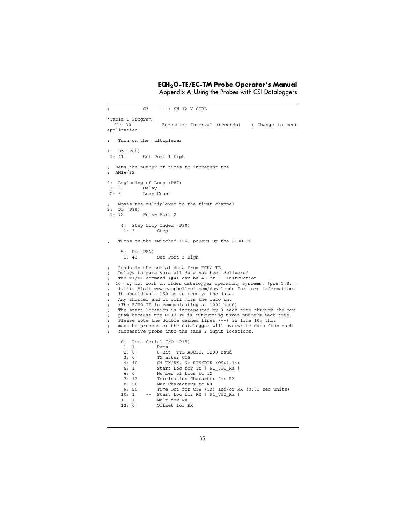Appendix A: Using the Probes with CSI Dataloggers

; C3 ---) SW 12 V CTRL \*Table 1 Program 01: 30 Execution Interval (seconds) ; Change to meet application Turn on the multiplexer 1: Do (P86) 1: 41 Set Port 1 High ; Sets the number of times to increment the ; AM16/32 2: Beginning of Loop (P87) 1: 0 Delay<br>2: 5 Loop Loop Count Moves the multiplexer to the first channel 3: Do (P86) 1: 72 Pulse Port 2 4: Step Loop Index (P90) 1: 3 Step Turns on the switched 12V, powers up the ECHO-TE 5: Do (P86) Set Port 3 High ; Reads in the serial data from ECHO-TE. ; Delays to make sure all data has been delivered. ; The TX/RX command (#4) can be 40 or 3. Instruction ; 40 may not work on older datalogger operating systems. (pre O.S. , , 1.14). Visit www.campbellsci.com/downloads for more information. ; It should wait 150 ms to receive the data. Any shorter and it will miss the info in. (The ECHO-TE is communicating at 1200 baud) The start location is incremented by 3 each time through the pro gram because the ECHO-TE is outputting three numbers each time. Please note the double dashed lines (--) in line 10: this must be present or the datalogger will overwrite data from each ; successive probe into the same 3 input locations. 6: Port Serial I/O (P15) 1: 1 Reps 2: 0 8-Bit, TTL ASCII, 1200 Baud 3: 0 TX after CTS 4: 40 C4 TX/RX, No RTS/DTR (OS>1.14) 5: 1 Start Loc for TX [ P1 VWC Ra ] 6: 0 Number of Locs to TX 7: 13 Termination Character for RX<br>8: 50 Max Characters to RX Max Characters to RX 9: 50 Time Out for CTS (TX) and/or RX (0.01 sec units) 10: 1 -- Start Loc for RX [ P1\_VWC\_Ra ]<br>11: 1 -- Start Loc for RX [ P1\_VWC\_Ra ] Mult for RX 12: 0 Offset for RX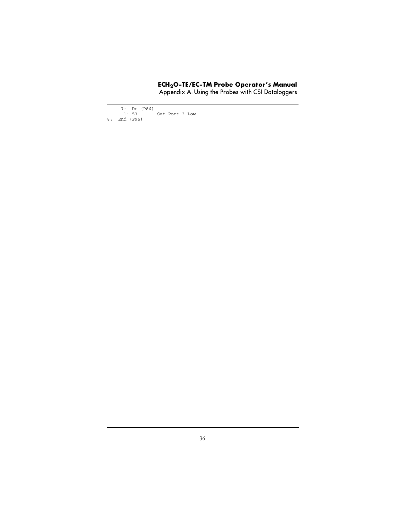Appendix A: Using the Probes with CSI Dataloggers

 7: Do (P86) 1: 53 Set Port 3 Low 8: End (P95)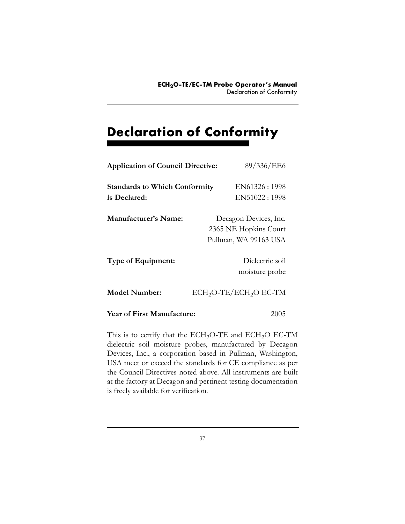# **Declaration of Conformity**

| <b>Application of Council Directive:</b>             | 89/336/EE6                                                              |
|------------------------------------------------------|-------------------------------------------------------------------------|
| <b>Standards to Which Conformity</b><br>is Declared: | EN61326:1998<br>EN51022:1998                                            |
| Manufacturer's Name:                                 | Decagon Devices, Inc.<br>2365 NE Hopkins Court<br>Pullman, WA 99163 USA |
| Type of Equipment:                                   | Dielectric soil<br>moisture probe                                       |
| <b>Model Number:</b>                                 | $ECH2O-TE/ECH2O EC-TM$                                                  |
| <b>Year of First Manufacture:</b>                    | 2005                                                                    |

This is to certify that the ECH<sub>2</sub>O-TE and ECH<sub>2</sub>O EC-TM dielectric soil moisture probes, manufactured by Decagon Devices, Inc., a corporation based in Pullman, Washington, USA meet or exceed the standards for CE compliance as per the Council Directives noted above. All instruments are built at the factory at Decagon and pertinent testing documentation is freely available for verification.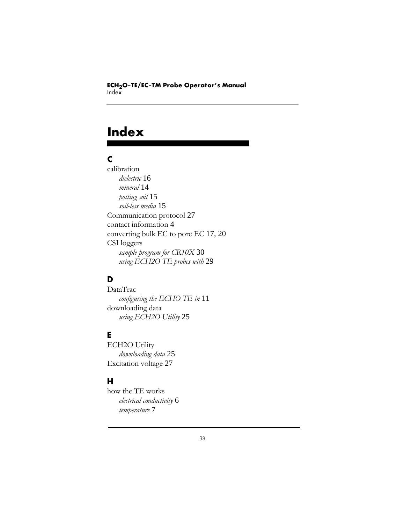# **Index**

#### **C**

calibration *dielectric* [16](#page-20-0) *mineral* [14](#page-18-0) *potting soil* [15](#page-19-0) *soil-less media* [15](#page-19-1) Communication protocol [27](#page-31-0) contact information [4](#page-8-0) converting bulk EC to pore EC [17,](#page-21-0) [20](#page-24-0) CSI loggers *sample program for CR10X* [30](#page-34-0) *using ECH2O TE probes with* [29](#page-33-0)

### **D**

DataTrac *configuring the ECHO TE in* [11](#page-15-0) downloading data *using ECH2O Utility* [25](#page-29-0)

#### **E**

ECH2O Utility *downloading data* [25](#page-29-0) Excitation voltage [27](#page-31-0)

#### **H**

how the TE works *electrical conductivity* [6](#page-10-0) *temperature* [7](#page-11-0)